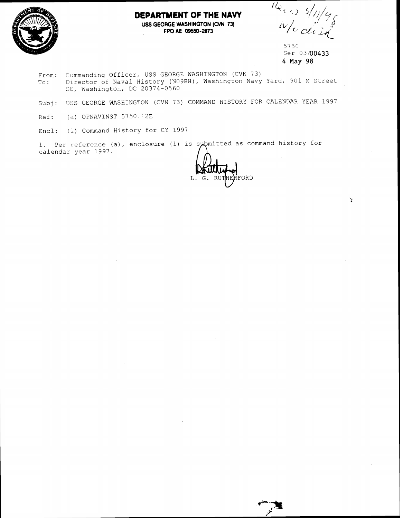

### **DEPARTMENT OF THE NAVY USS GEORGE WASHINGTON (CVN 73) FW AE 09550-2873**

news s/11/95

5750 Ser *03/00433*  4 May *98* 

 $\mathbf{r}$ 

- From: Commanding Officer, USS GEORGE WASHINGTON (CVN 73) To: Director of Naval History (NO9BH), Washington Navy Yard, 901 M Street SE, Washington, DC 20374-0560
- Subj: USS GEORGE WASHINGTON (CVN 73) COMMAND HISTORY FOR CALENDAR YEAR 1997
- Ref: **(d)** OPNAVINST 5750.12E

Encl: (I) Command History for CY 1997

1. Per reference (a), enclosure (1) is submitted as command history for calendar year 1997.

Submitted as command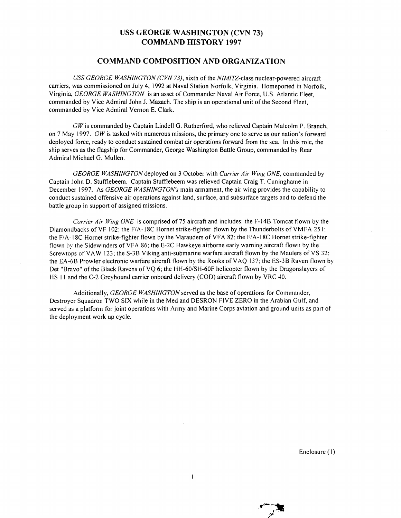## **USS GEORGE WASHINGTON (CVN 73) COMMAND HISTORY 1997**

### **COMMAND COMPOSITION AND ORGANIZATION**

USS GEORGE WASHINGTON (CVN **73),** sixth of the NIMITZ-class nuclear-powered aircraft carriers, was commissioned on July 4, 1992 at Naval Station Norfolk, Virginia. Homeported in Norfolk, Virginia, GEORGE WASHINGTON is an asset of Commander Naval Air Force, U.S. Atlantic Fleet, commanded by Vice Admiral John J. Mazach. The ship is an operational unit of the Second Fleet, commanded by Vice Admiral Vernon E. Clark.

GW is commanded by Captain Lindell G. Rutherford, who relieved Captain Malcolm P. Branch, on 7 May 1997.  $GW$  is tasked with numerous missions, the primary one to serve as our nation's forward deployed force, ready to conduct sustained combat air operations forward from the sea. In this role, the ship serves as the flagship for Commander, George Washington Battle Group, commanded by Rear Admiral Michael G. Mullen.

GEORGE WASHINGTON deployed on 3 October with Carrier Air Wing ONE, commanded by Captain John D. Stufflebeem. Captain Stufflebeem was relieved Captain Craig T. Cuninghame in December 1997. As GEORGE WASHINGTON's main armament, the air wing provides the capability to conduct sustained offensive air operations against land, surface, and subsurface targets and to defend the battle group in support of assigned missions.

Carrier Air Wing ONE is comprised of 75 aircraft and includes: the F-14B Tomcat flown by the Diamondbacks of VF 102; the F/A-18C Hornet strike-fighter flown by the Thunderbolts of VMFA 251; the FIA- I8C Hornet strike-fighter flown by the Marauders of VFA 82: the F/A- 18C Hornet strike-fighter flown by the Sidewinders of VFA 86; the E-2C Hawkeye airborne early warning aircraft flown by the Screwtops of VAW 123; the S-3B Viking anti-submarine warfare aircraft flown by the Maulers of VS 32; the EA-6B Prowler electronic warfare aircraft flown by the Rooks of VAQ 137; the ES-3B Raven flown by Det "Bravo" of the Black Ravens of VQ 6; the HH-60/SH-60F helicopter flown by the Dragonslayers of HS 11 and the C-2 Greyhound carrier onboard delivery (COD) aircraft flown by VRC 40.

Additionally, GEORGE WASHINGTON served as the base of operations for Commander, Destroyer Squadron TWO SIX while in the Med and DESRON FIVE ZERO in the Arabian Gulf, and served as a platform for joint operations with Army and Marine Corps aviation and ground units as part of the deployment work up cycle.

Enclosure (I)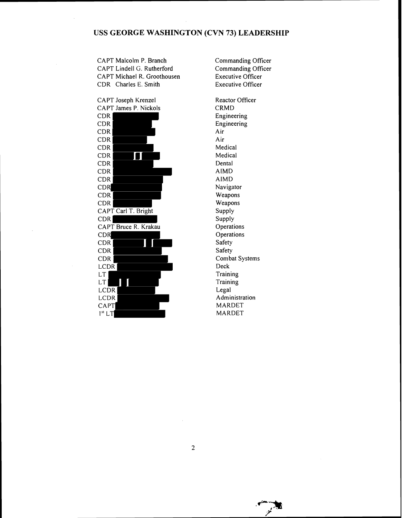### **USS GEORGE WASHINGTON (CVN 73) LEADERSHIP**

CAPT Malcolm P. Branch CAPT Lindell G. Rutherford CAPT Michael R. Groothousen CDR Charles E. Smith



Commanding Officer Commanding Officer Executive Officer Executive Officer

Reactor Officer CRMD Engineering Engineering Air Air Medical Medical Dental AlMD AlMD Navigator Weapons Weapons Supply Supply **Operations Operations** Safety Safety Combat Systems Deck **Training Training** Legal Administration MARDET MARDET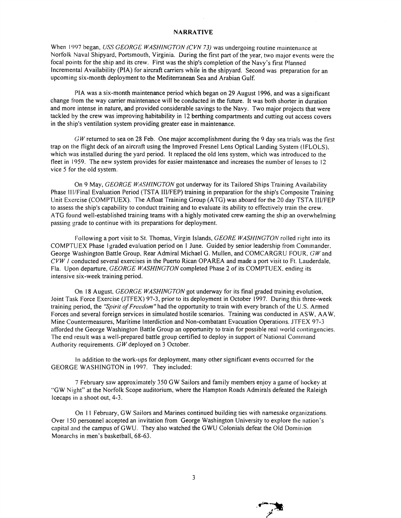#### **NARRATIVE**

When 1007 began, *USS GEORGE WASHINGTON (CVN 73)* was undergoing routine maintenance at Norfolk Naval Shipyard, Portsmouth, Virginia. During the first part of the year, two major events were the focal points for the ship and its crew. First was the ship's completion of the Navy's first Planned Incremental Availability (PIA) for aircraft carriers while in the shipyard. Second was preparation for an upcoming six-month deployment to the Mediterranean Sea and Arabian Gulf.

PIA was a six-month maintenance period which began on 29 August 1996, and was a significant change from the way carrier maintenance will be conducted in the future. It was both shorter in duration and more intense in nature, and provided considerable savings to the Navy. Two major projects that were tackled by the crew was improving habitability in 12 berthing compartments and cutting out access covers in the ship's ventilation system providing greater ease in maintenance.

GW returned to sea on 28 Feb. One major accomplishment during the 9 day sea trials was the first trap on the flight deck of an aircraft using the Improved Fresnel Lens Optical Landing System (IFLOLS). which was installed during the yard period. It replaced the old lens system, which was introduced to the fleet in 1959. The new system provides for easier maintenance and increases the number of lenses to 12 vice 5 for the old system.

On 9 May, *GEORGE WASHINGTON* got underway for its Tailored Ships Training Availability Phase III/Final Evaluation Period (TSTA III/FEP) training in preparation for the ship's Composite Training Unit Exercise (COMPTUEX). The Afloat Training Group (ATG) was aboard for the 20 day TSTA IIIIFEP to assess the ship's capability to conduct training and to evaluate its ability to effectively train the crew. ATG found well-established training teams with a highly motivated crew earning the ship an overwhelming passing grade to continue with its preparations for deployment.

Following a port visit to St. Thomas, Virgin Islands, *GEORE WASHINGTON* rolled right into its COMPTUEX Phase I graded evaluation period on I June. Guided by senior leadership from Commander. George Washington Battle Group. Rear Admiral Michael G. Mullen, and COMCARGRU FOUR, *GW* and *CVW* / conducted several exercises in the Puerto Rican OPAREA and made a port visit to Ft. Lauderdale. Fla. Upon departure, *GEORGE WASHINGTON* completed Phase 2 of its COMPTUEX. ending its intensive six-week training period.

On 18 August, *GEORGE WASHINGTON* got underway for its final graded training evolution, Joint Task Force Exercise (JTFEX) 97-3, prior to its deployment in October 1997. During this three-week training period, the *"Spirit of Freedom"* had the opportunity to train with every branch of the U.S. Armed Forces and several foreign services in simulated hostile scenarios. Training was conducted in ASW, AAW. Mine Countermeasures, Maritime Interdiction and Non-combatant Evacuation Operations. JTFEX 97-3 afforded the George Washington Battle Group an opportunity to train for possible real world contingencies. The end result was a well-prepared battle group certified to deploy in support of National Command Authority requirements. *GW* deployed on *3* October.

In addition to the work-ups for deployment, many other significant events occurred for the GEORGE WASHINGTON in 1997. They included:

7 February saw approximately 350 GW Sailors and family members enjoy a game of hockey at "GW Night" at the Norfolk Scope auditorium, where the Hampton Roads Admirals defeated the Raleigh Icecaps in a shoot out, 4-3.

On I1 February, GW Sailors and Marines continued building ties with namesake organizations Over 150 personnel accepted an invitation from George Washington University to explore the nation's capital and the campus of GWU. They also watched the GWU Colonials defeat the Old Dominion Monarchs in men's basketball, 68-63.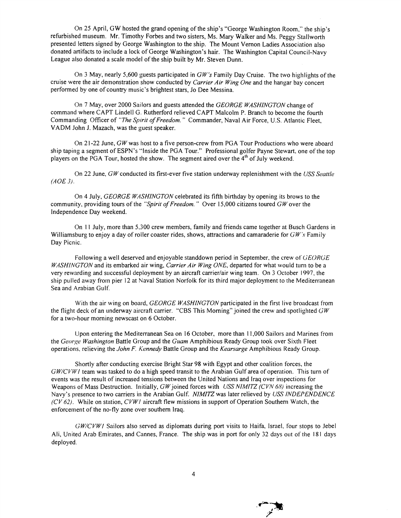On 25 April, GW hosted the grand opening of the ship's "George Washington Room," the ship's refurbished museum. Mr. Timothy Forbes and two sisters, Ms. Mary Walker and Ms. Peggy Stallworth presented letters signed by George Washington to the ship. The Mount Vernon Ladies Association also donated artifacts to include a lock of George Washington's hair. The Washington Capital Council-Navy League also donated a scale model of the ship built by Mr. Steven Dunn.

On 3 May, nearly 5,600 guests participated in *GW's* Family Day Cruise. The two highlights of the cruise were the air demonstration show conducted by *Carrier Air Wing One* and the hangar bay concert performed by one of country music's brightest stars, Jo Dee Messina.

On 7 May, over 2000 Sailors and guests attended the *GEORGE WASHINGTON* change of command where CAPT Lindell G. Rutherford relieved CAPT Malcolm P. Branch to become the fourtli Commanding Officer of *"The Spirit* of *Freedom.* " Commander, Naval Air Force, U.S. Atlantic Fleet, VADM John J. Mazach, was the guest speaker.

On 21-22 June, *GW* was host to a five person-crew from PGA Tour Productions who were aboard ship taping a segment of ESPN's "Inside the PGA Tour." Professional golfer Payne Stewart. one of the top players on the PGA Tour, hosted the show. The segment aired over the  $4<sup>th</sup>$  of July weekend.

On 22 June, *GW* conducted its first-ever five station underway replenishment with the *USS Seattle (AOE 3).* 

On 4 July, *GEORGE WASHINGTON* celebrated its fifth birthday by opening its brows to the community, providing tours of the *"Spirit of Freedom.* " Over 15,000 citizens toured *GW* over the Independence Day weekend.

On 11 July, more than 5,300 crew members, family and friends came together at Busch Gardens in Williamsburg to enjoy a day of roller coaster rides, shows, attractions and camaraderie for *GW's* Family Day Picnic.

Following a well deserved and enjoyable standdown period in September, the crew of *GEORGE WASHINGTON* and its embarked air wing, *Carrier Air Wing ONE,* departed for what would turn to be a very rewarding and successful deployment by an aircraft carrierlair wing team. On 3 October 1997, the ship pulled away from pier 12 at Naval Station Norfolk for its third major deployment to the Mediterranean Sea and Arabian Gulf.

With the air wing on board, *GEORGE WASHINGTON* participated in the first live broadcast from the flight deck of an underway aircraft carrier. "CBS This Morning" joined the crew and spotlighted *GW*  for a two-hour morning newscast on 6 October.

Upon entering the Mediterranean Sea on 16 October, more than **1** 1,000 Sailors and Marines from the *George Washington Battle Group and the Guam Amphibious Ready Group took over Sixth Fleet* operations, relieving the *John F. Kennedy* Battle Group and the *Kearsarge* Amphibious Ready Group.

Shortly after conducting exercise Bright Star 98 with Egypt and other coalition forces. the *GW/CVWI* team was tasked to do a high speed transit to the Arabian Gulf area of operation. This turn of events was the result of increased tensions between the United Nations and Iraq over inspections for Weapons of Mass Destruction. Initially, GWjoined forces with *USS NIMITZ (CVN* **68)** increasing the Navy's presence to two carriers in the Arabian Gulf. *NIMITZ* was later relieved by *USS INDEPENDENCE (CV 62).* While on station, *CVWl* aircraft flew missions in support of Operation Southern Watch, the enforcement of the no-fly zone over southern Iraq.

*GW/CVWI* Sailors also served as diplomats during port visits to Haifa, Israel, four stops to Jebel Ali, United Arab Emirates, and Cannes, France. The ship was in port for only 32 days out of the 18 1 days deployed.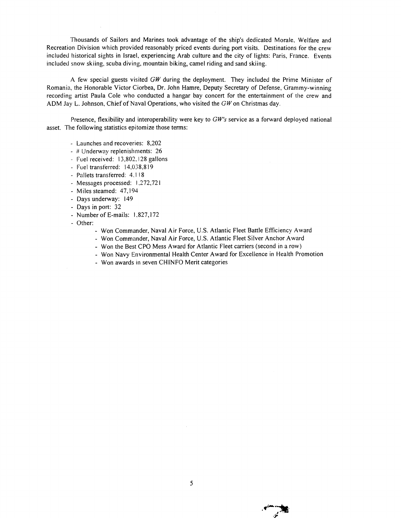Thousands of Sailors and Marines took advantage of the ship's dedicated Morale, Welfare and Recreation Division which provided reasonably priced events during port visits. Destinations for the crew included historical sights in Israel, experiencing Arab culture and the city of lights: Paris, France. Events included snow skiing, scuba diving, mountain biking, camel riding and sand skiing.

A few special guests visited  $GW$  during the deployment. They included the Prime Minister of Romania, the Honorable Victor Ciorbea, Dr. John Hamre, Deputy Secretary of Defense, Grammy-winning recording artist Paula Cole who conducted a hangar bay concert for the entertainment of the crew and ADM Jay L. Johnson, Chief of Naval Operations, who visited the  $GW$  on Christmas day.

Presence, flexibility and interoperability were key to  $GW's$  service as a forward deployed national asset. The following statistics epitomize those terms:

- Launches and recoveries: 8,202
- # Underway replenishments: 26
- Fuel received: 13,802.128 gallons
- Fuel transferred: 14,038,8 19
- Pallets transferred: 4.1 I8
- Messages processed: 1,272,72 <sup>1</sup>
- Miles steamed: 47,194
- Days underway: 149
- Days in port: 32
- Number of E-mails: 1,827,172
- Other:
	- Won Commander, Naval Air Force, U.S. Atlantic Fleet Battle Efficiency Award
	- Won Commander, Naval Air Force, U.S. Atlantic Fleet Silver Anchor Award
	- Won the Best CPO Mess Award for Atlantic Fleet carriers (second in a row)
	- Won Navy Environmental Health Center Award for Excellence in Health Promotion
	- Won awards in seven CHINFO Merit categories

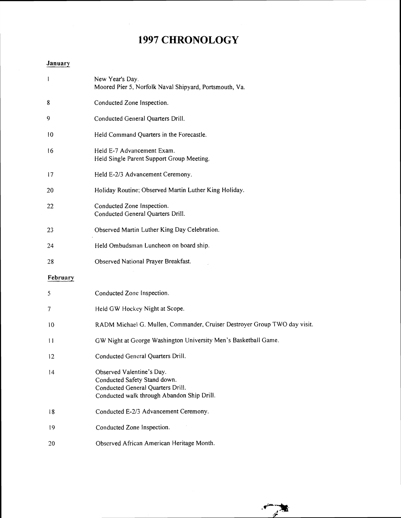# **1997 CHRONOLOGY**

# **January**

| $\overline{1}$  | New Year's Day.<br>Moored Pier 5, Norfolk Naval Shipyard, Portsmouth, Va.                                                                    |
|-----------------|----------------------------------------------------------------------------------------------------------------------------------------------|
| 8               | Conducted Zone Inspection.                                                                                                                   |
| 9               | Conducted General Quarters Drill.                                                                                                            |
| $\overline{10}$ | Held Command Quarters in the Forecastle.                                                                                                     |
| 16              | Held E-7 Advancement Exam.<br>Held Single Parent Support Group Meeting.                                                                      |
| 17              | Held E-2/3 Advancement Ceremony.                                                                                                             |
| 20              | Holiday Routine; Observed Martin Luther King Holiday.                                                                                        |
| 22              | Conducted Zone Inspection.<br>Conducted General Quarters Drill.                                                                              |
| 23              | Observed Martin Luther King Day Celebration.                                                                                                 |
| 24              | Held Ombudsman Luncheon on board ship.                                                                                                       |
| 28              | Observed National Prayer Breakfast.                                                                                                          |
| February        |                                                                                                                                              |
| 5               | Conducted Zone Inspection.                                                                                                                   |
| 7               | Held GW Hockey Night at Scope.                                                                                                               |
| 10              | RADM Michael G. Mullen, Commander, Cruiser Destroyer Group TWO day visit.                                                                    |
| $\vert \vert$   | GW Night at George Washington University Men's Basketball Game.                                                                              |
| 12              | Conducted General Quarters Drill.                                                                                                            |
| 14              | Observed Valentine's Day.<br>Conducted Safety Stand down.<br>Conducted General Quarters Drill.<br>Conducted walk through Abandon Ship Drill. |
| 18              | Conducted E-2/3 Advancement Ceremony.                                                                                                        |
| 19              | Conducted Zone Inspection.                                                                                                                   |
| 20              | Observed African American Heritage Month.                                                                                                    |

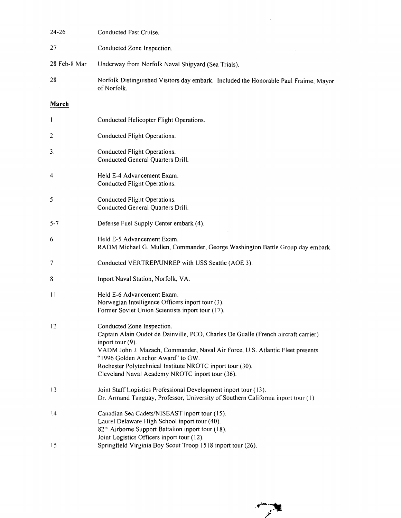| 24-26           | Conducted Fast Cruise.                                                                                                                                                                                                                                                                                                                                                     |
|-----------------|----------------------------------------------------------------------------------------------------------------------------------------------------------------------------------------------------------------------------------------------------------------------------------------------------------------------------------------------------------------------------|
| 27              | Conducted Zone Inspection.                                                                                                                                                                                                                                                                                                                                                 |
| 28 Feb-8 Mar    | Underway from Norfolk Naval Shipyard (Sea Trials).                                                                                                                                                                                                                                                                                                                         |
| 28              | Norfolk Distinguished Visitors day embark. Included the Honorable Paul Fraime, Mayor<br>of Norfolk.                                                                                                                                                                                                                                                                        |
| March           |                                                                                                                                                                                                                                                                                                                                                                            |
| $\mathbf{l}$    | Conducted Helicopter Flight Operations.                                                                                                                                                                                                                                                                                                                                    |
| 2               | Conducted Flight Operations.                                                                                                                                                                                                                                                                                                                                               |
| 3.              | Conducted Flight Operations.<br>Conducted General Quarters Drill.                                                                                                                                                                                                                                                                                                          |
| 4               | Held E-4 Advancement Exam.<br>Conducted Flight Operations.                                                                                                                                                                                                                                                                                                                 |
| 5               | Conducted Flight Operations.<br>Conducted General Quarters Drill.                                                                                                                                                                                                                                                                                                          |
| $5 - 7$         | Defense Fuel Supply Center embark (4).                                                                                                                                                                                                                                                                                                                                     |
| 6               | Held E-5 Advancement Exam.<br>RADM Michael G. Mullen, Commander, George Washington Battle Group day embark.                                                                                                                                                                                                                                                                |
| 7               | Conducted VERTREP/UNREP with USS Seattle (AOE 3).                                                                                                                                                                                                                                                                                                                          |
| 8               | Inport Naval Station, Norfolk, VA.                                                                                                                                                                                                                                                                                                                                         |
| $\overline{11}$ | Held E-6 Advancement Exam.<br>Norwegian Intelligence Officers inport tour (3).<br>Former Soviet Union Scientists inport tour (17).                                                                                                                                                                                                                                         |
| 12              | Conducted Zone Inspection.<br>Captain Alain Oudot de Dainville, PCO, Charles De Gualle (French aircraft carrier)<br>inport tour (9).<br>VADM John J. Mazach, Commander, Naval Air Force, U.S. Atlantic Fleet presents<br>"1996 Golden Anchor Award" to GW.<br>Rochester Polytechnical Institute NROTC inport tour (30).<br>Cleveland Naval Academy NROTC inport tour (36). |
| 13              | Joint Staff Logistics Professional Development inport tour (13).<br>Dr. Armand Tanguay, Professor, University of Southern California inport tour (1)                                                                                                                                                                                                                       |
| 4               | Canadian Sea Cadets/NISEAST inport tour (15).<br>Laurel Delaware High School inport tour (40).<br>82 <sup>nd</sup> Airborne Support Battalion inport tour (18).<br>Joint Logistics Officers inport tour (12).                                                                                                                                                              |
| 15              | Springfield Virginia Boy Scout Troop 1518 inport tour (26).                                                                                                                                                                                                                                                                                                                |

 $\label{eq:2.1} \frac{1}{\sqrt{2}}\left(\frac{1}{\sqrt{2}}\right)^{2} \left(\frac{1}{\sqrt{2}}\right)^{2} \left(\frac{1}{\sqrt{2}}\right)^{2} \left(\frac{1}{\sqrt{2}}\right)^{2} \left(\frac{1}{\sqrt{2}}\right)^{2} \left(\frac{1}{\sqrt{2}}\right)^{2} \left(\frac{1}{\sqrt{2}}\right)^{2} \left(\frac{1}{\sqrt{2}}\right)^{2} \left(\frac{1}{\sqrt{2}}\right)^{2} \left(\frac{1}{\sqrt{2}}\right)^{2} \left(\frac{1}{\sqrt{2}}\right)^{2} \left(\$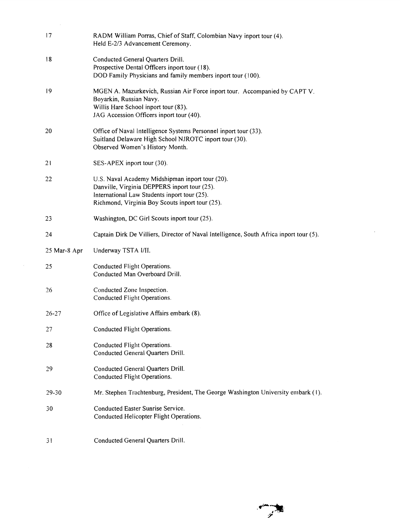| 17           | RADM William Porras, Chief of Staff, Colombian Navy inport tour (4).<br>Held E-2/3 Advancement Ceremony.                                                                                           |
|--------------|----------------------------------------------------------------------------------------------------------------------------------------------------------------------------------------------------|
| 18           | Conducted General Quarters Drill.<br>Prospective Dental Officers inport tour (18).<br>DOD Family Physicians and family members inport tour (100).                                                  |
| 19           | MGEN A. Mazurkevich, Russian Air Force inport tour. Accompanied by CAPT V.<br>Boyarkin, Russian Navy.<br>Willis Hare School inport tour (83).<br>JAG Accession Officers inport tour (40).          |
| 20           | Office of Naval Intelligence Systems Personnel inport tour (33).<br>Suitland Delaware High School NJROTC inport tour (30).<br>Observed Women's History Month.                                      |
| 21           | SES-APEX inport tour (30).                                                                                                                                                                         |
| 22           | U.S. Naval Academy Midshipman inport tour (20).<br>Danville, Virginia DEPPERS inport tour (25).<br>International Law Students inport tour (25).<br>Richmond, Virginia Boy Scouts inport tour (25). |
| 23           | Washington, DC Girl Scouts inport tour (25).                                                                                                                                                       |
| 24           | Captain Dirk De Villiers, Director of Naval Intelligence, South Africa inport tour (5).                                                                                                            |
| 25 Mar-8 Apr | Underway TSTA I/II.                                                                                                                                                                                |
| 25           | Conducted Flight Operations.<br>Conducted Man Overboard Drill.                                                                                                                                     |
| 26           | Conducted Zone Inspection.<br>Conducted Flight Operations.                                                                                                                                         |
| $26 - 27$    | Office of Legislative Affairs embark (8).                                                                                                                                                          |
| 27           | Conducted Flight Operations.                                                                                                                                                                       |
| 28           | Conducted Flight Operations.<br>Conducted General Quarters Drill.                                                                                                                                  |
| 29           | Conducted General Quarters Drill.<br>Conducted Flight Operations.                                                                                                                                  |
| $29 - 30$    | Mr. Stephen Trachtenburg, President, The George Washington University embark (1).                                                                                                                  |
| 30           | Conducted Easter Sunrise Service.<br>Conducted Helicopter Flight Operations.                                                                                                                       |
| 31           | Conducted General Quarters Drill.                                                                                                                                                                  |

 $\mathcal{L}_{\mathcal{A}}$ 

 $\frac{1}{2} \left( \frac{1}{2} \right) \frac{1}{2} \left( \frac{1}{2} \right)$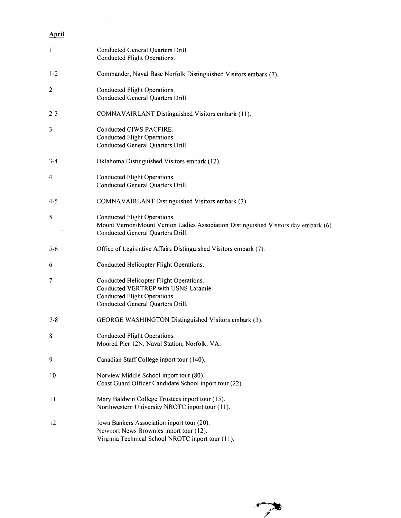# April

| $\overline{1}$  | Conducted General Quarters Drill.<br>Conducted Flight Operations.                                                                                        |
|-----------------|----------------------------------------------------------------------------------------------------------------------------------------------------------|
| $1-2$           | Commander, Naval Base Norfolk Distinguished Visitors embark (7).                                                                                         |
| $\overline{2}$  | Conducted Flight Operations.<br>Conducted General Quarters Drill.                                                                                        |
| $2 - 3$         | COMNAVAIRLANT Distinguished Visitors embark (11).                                                                                                        |
| 3               | Conducted CIWS PACFIRE.<br>Conducted Flight Operations.<br>Conducted General Quarters Drill.                                                             |
| $3 - 4$         | Oklahoma Distinguished Visitors embark (12).                                                                                                             |
| 4               | Conducted Flight Operations.<br>Conducted General Quarters Drill.                                                                                        |
| $4 - 5$         | COMNAVAIRLANT Distinguished Visitors embark (3).                                                                                                         |
| 5               | Conducted Flight Operations.<br>Mount Vernon/Mount Vernon Ladies Association Distinguished Visitors day embark (6).<br>Conducted General Quarters Drill. |
| $5 - 6$         | Office of Legislative Affairs Distinguished Visitors embark (7).                                                                                         |
| 6               | Conducted Helicopter Flight Operations.                                                                                                                  |
| 7               | Conducted Helicopter Flight Operations.<br>Conducted VERTREP with USNS Laramie.<br>Conducted Flight Operations.<br>Conducted General Quarters Drill.     |
| 7-8             | GEORGE WASHINGTON Distinguished Visitors embark (3).                                                                                                     |
| 8               | Conducted Flight Operations.<br>Moored Pier 12N, Naval Station, Norfolk, VA.                                                                             |
| 9               | Canadian Staff College inport tour (140).                                                                                                                |
| 10              | Norview Middle School inport tour (80).<br>Coast Guard Officer Candidate School inport tour (22).                                                        |
| $\overline{11}$ | Mary Baldwin College Trustees inport tour (15).<br>Northwestern University NROTC inport tour (11).                                                       |
| 12              | Iowa Bankers Association inport tour (20).<br>Newport News Brownies inport tour (12).<br>Virginia Technical School NROTC inport tour (11).               |

 $\cdot$ 鸄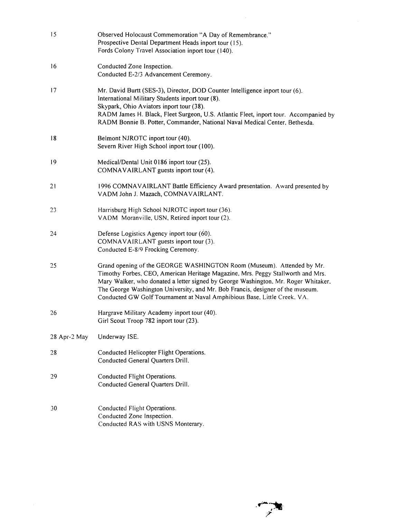| 15           | Observed Holocaust Commemoration "A Day of Remembrance."<br>Prospective Dental Department Heads inport tour (15).<br>Fords Colony Travel Association inport tour (140).                                                                                                                                                                                                                                      |
|--------------|--------------------------------------------------------------------------------------------------------------------------------------------------------------------------------------------------------------------------------------------------------------------------------------------------------------------------------------------------------------------------------------------------------------|
| 16           | Conducted Zone Inspection.<br>Conducted E-2/3 Advancement Ceremony.                                                                                                                                                                                                                                                                                                                                          |
| 17           | Mr. David Burtt (SES-3), Director, DOD Counter Intelligence inport tour (6).<br>International Military Students inport tour (8).<br>Skypark, Ohio Aviators inport tour (38).<br>RADM James H. Black, Fleet Surgeon, U.S. Atlantic Fleet, inport tour. Accompanied by<br>RADM Bonnie B. Potter, Commander, National Naval Medical Center, Bethesda.                                                           |
| 18           | Belmont NJROTC inport tour (40).<br>Severn River High School inport tour (100).                                                                                                                                                                                                                                                                                                                              |
| 19           | Medical/Dental Unit 0186 inport tour (25).<br>COMNAVAIRLANT guests inport tour (4).                                                                                                                                                                                                                                                                                                                          |
| 21           | 1996 COMNAVAIRLANT Battle Efficiency Award presentation. Award presented by<br>VADM John J. Mazach, COMNAVAIRLANT.                                                                                                                                                                                                                                                                                           |
| 23           | Harrisburg High School NJROTC inport tour (36).<br>VADM Moranville, USN, Retired inport tour (2).                                                                                                                                                                                                                                                                                                            |
| 24           | Defense Logistics Agency inport tour (60).<br>COMNAVAIRLANT guests inport tour (3).<br>Conducted E-8/9 Frocking Ceremony.                                                                                                                                                                                                                                                                                    |
| 25           | Grand opening of the GEORGE WASHINGTON Room (Museum). Attended by Mr.<br>Timothy Forbes, CEO, American Heritage Magazine, Mrs. Peggy Stallworth and Mrs.<br>Mary Walker, who donated a letter signed by George Washington, Mr. Roger Whitaker,<br>The George Washington University, and Mr. Bob Francis, designer of the museum.<br>Conducted GW Golf Tournament at Naval Amphibious Base, Little Creek, VA. |
| 26           | Hargrave Military Academy inport tour (40).<br>Girl Scout Troop 782 inport tour (23).                                                                                                                                                                                                                                                                                                                        |
| 28 Apr-2 May | Underway ISE.                                                                                                                                                                                                                                                                                                                                                                                                |
| 28           | Conducted Helicopter Flight Operations.<br>Conducted General Quarters Drill.                                                                                                                                                                                                                                                                                                                                 |
| 29           | Conducted Flight Operations.<br>Conducted General Quarters Drill.                                                                                                                                                                                                                                                                                                                                            |
| 30           | Conducted Flight Operations.<br>Conducted Zone Inspection.<br>Conducted RAS with USNS Monterary.                                                                                                                                                                                                                                                                                                             |

ساندند.<br>گزار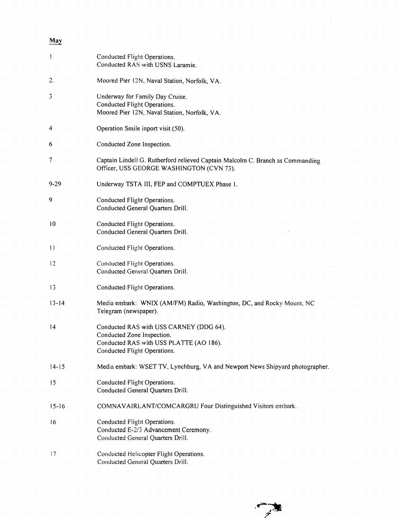# May

| $\mathbf{I}$  | Conducted Flight Operations.<br>Conducted RAS with USNS Laramie.                                                                                 |
|---------------|--------------------------------------------------------------------------------------------------------------------------------------------------|
| 2.            | Moored Pier 12N, Naval Station, Norfolk, VA.                                                                                                     |
| 3             | Underway for Family Day Cruise.<br>Conducted Flight Operations.<br>Moored Pier 12N, Naval Station, Norfolk, VA.                                  |
| 4             | Operation Smile inport visit (50).                                                                                                               |
| 6             | Conducted Zone Inspection.                                                                                                                       |
| 7             | Captain Lindell G. Rutherford relieved Captain Malcolm C. Branch as Commanding<br>Officer, USS GEORGE WASHINGTON (CVN 73).                       |
| $9 - 29$      | Underway TSTA III, FEP and COMPTUEX Phase 1.                                                                                                     |
| 9             | Conducted Flight Operations.<br>Conducted General Quarters Drill.                                                                                |
| 10            | Conducted Flight Operations.<br>Conducted General Quarters Drill.                                                                                |
| $\vert \vert$ | Conducted Flight Operations.                                                                                                                     |
| 12            | Conducted Flight Operations.<br>Conducted General Quarters Drill.                                                                                |
| 13            | Conducted Flight Operations.                                                                                                                     |
| $13 - 14$     | Media embark: WNIX (AM/FM) Radio, Washington, DC, and Rocky Mount, NC<br>Telegram (newspaper).                                                   |
| 4             | Conducted RAS with USS CARNEY (DDG 64).<br>Conducted Zone Inspection.<br>Conducted RAS with USS PLATTE (AO 186).<br>Conducted Flight Operations. |
| $14 - 15$     | Media embark: WSET TV, Lynchburg, VA and Newport News Shipyard photographer.                                                                     |
| 15            | Conducted Flight Operations.<br>Conducted General Quarters Drill.                                                                                |
| $15 - 16$     | COMNAVAIRLANT/COMCARGRU Four Distinguished Visitors embark.                                                                                      |
| 16            | Conducted Flight Operations.<br>Conducted E-2/3 Advancement Ceremony.<br>Conducted General Quarters Drill.                                       |
| 17            | Conducted Helicopter Flight Operations.<br>Conducted General Quarters Drill.                                                                     |



 $\sim 10^{11}$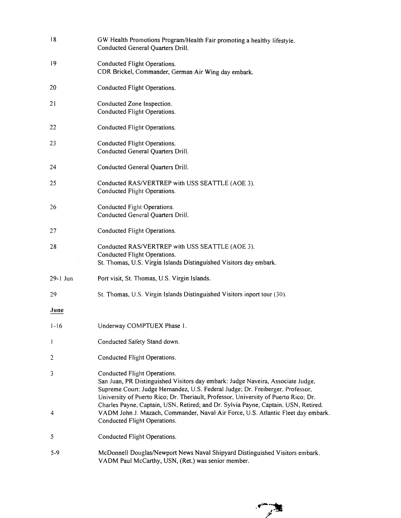| 18       | GW Health Promotions Program/Health Fair promoting a healthy lifestyle.<br>Conducted General Quarters Drill.                                                                                                                                                                                                                                                                   |
|----------|--------------------------------------------------------------------------------------------------------------------------------------------------------------------------------------------------------------------------------------------------------------------------------------------------------------------------------------------------------------------------------|
| 19       | Conducted Flight Operations.<br>CDR Brickel, Commander, German Air Wing day embark.                                                                                                                                                                                                                                                                                            |
| 20       | Conducted Flight Operations.                                                                                                                                                                                                                                                                                                                                                   |
| 21       | Conducted Zone Inspection.<br>Conducted Flight Operations.                                                                                                                                                                                                                                                                                                                     |
| 22       | Conducted Flight Operations.                                                                                                                                                                                                                                                                                                                                                   |
| 23       | Conducted Flight Operations.<br>Conducted General Quarters Drill.                                                                                                                                                                                                                                                                                                              |
| 24       | Conducted General Quarters Drill.                                                                                                                                                                                                                                                                                                                                              |
| 25       | Conducted RAS/VERTREP with USS SEATTLE (AOE 3).<br>Conducted Flight Operations.                                                                                                                                                                                                                                                                                                |
| 26       | Conducted Fight Operations.<br>Conducted General Quarters Drill.                                                                                                                                                                                                                                                                                                               |
| 27       | Conducted Flight Operations.                                                                                                                                                                                                                                                                                                                                                   |
| 28       | Conducted RAS/VERTREP with USS SEATTLE (AOE 3).<br>Conducted Flight Operations.<br>St. Thomas, U.S. Virgin Islands Distinguished Visitors day embark.                                                                                                                                                                                                                          |
| 29-1 Jun | Port visit, St. Thomas, U.S. Virgin Islands.                                                                                                                                                                                                                                                                                                                                   |
| 29       | St. Thomas, U.S. Virgin Islands Distinguished Visitors inport tour (30).                                                                                                                                                                                                                                                                                                       |
| June     |                                                                                                                                                                                                                                                                                                                                                                                |
| $1 - 16$ | Underway COMPTUEX Phase 1.                                                                                                                                                                                                                                                                                                                                                     |
| -1       | Conducted Safety Stand down.                                                                                                                                                                                                                                                                                                                                                   |
| 2        | Conducted Flight Operations.                                                                                                                                                                                                                                                                                                                                                   |
| 3        | Conducted Flight Operations.<br>San Juan, PR Distinguished Visitors day embark: Judge Naveira, Associate Judge,<br>Supreme Court; Judge Hernandez, U.S. Federal Judge; Dr. Freiberger, Professor,<br>University of Puerto Rico; Dr. Theriault, Professor, University of Puerto Rico; Dr.<br>Charles Payne, Captain, USN, Retired; and Dr. Sylvia Payne, Captain, USN, Retired. |
| 4        | VADM John J. Mazach, Commander, Naval Air Force, U.S. Atlantic Fleet day embark.<br>Conducted Flight Operations.                                                                                                                                                                                                                                                               |
| 5        | Conducted Flight Operations.                                                                                                                                                                                                                                                                                                                                                   |
| $5-9$    | McDonnell Douglas/Newport News Naval Shipyard Distinguished Visitors embark.<br>VADM Paul McCarthy, USN, (Ret.) was senior member.                                                                                                                                                                                                                                             |

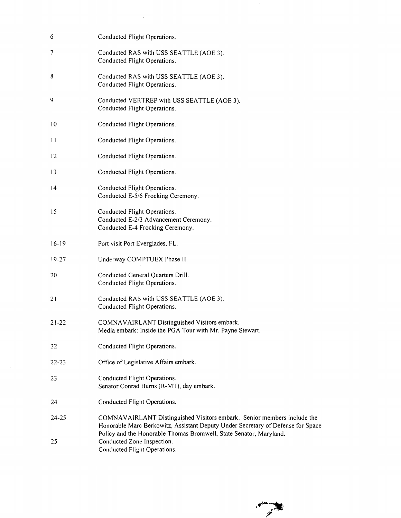| 6                 | Conducted Flight Operations.                                                                                                                                                                                                     |
|-------------------|----------------------------------------------------------------------------------------------------------------------------------------------------------------------------------------------------------------------------------|
| 7                 | Conducted RAS with USS SEATTLE (AOE 3).<br>Conducted Flight Operations.                                                                                                                                                          |
| 8                 | Conducted RAS with USS SEATTLE (AOE 3).<br>Conducted Flight Operations.                                                                                                                                                          |
| 9                 | Conducted VERTREP with USS SEATTLE (AOE 3).<br>Conducted Flight Operations.                                                                                                                                                      |
| 10                | Conducted Flight Operations.                                                                                                                                                                                                     |
| 11                | Conducted Flight Operations.                                                                                                                                                                                                     |
| $12 \overline{ }$ | Conducted Flight Operations.                                                                                                                                                                                                     |
| $\overline{3}$    | Conducted Flight Operations.                                                                                                                                                                                                     |
| 4                 | Conducted Flight Operations.<br>Conducted E-5/6 Frocking Ceremony.                                                                                                                                                               |
| 15                | Conducted Flight Operations.<br>Conducted E-2/3 Advancement Ceremony.<br>Conducted E-4 Frocking Ceremony.                                                                                                                        |
| $16 - 19$         | Port visit Port Everglades, FL.                                                                                                                                                                                                  |
| $19 - 27$         | Underway COMPTUEX Phase II.                                                                                                                                                                                                      |
| 20                | Conducted General Quarters Drill.<br>Conducted Flight Operations.                                                                                                                                                                |
| 21                | Conducted RAS with USS SEATTLE (AOE 3).<br>Conducted Flight Operations.                                                                                                                                                          |
| $21 - 22$         | COMNAVAIRLANT Distinguished Visitors embark.<br>Media embark: Inside the PGA Tour with Mr. Payne Stewart.                                                                                                                        |
| 22                | Conducted Flight Operations.                                                                                                                                                                                                     |
| $22 - 23$         | Office of Legislative Affairs embark.                                                                                                                                                                                            |
| 23                | Conducted Flight Operations.<br>Senator Conrad Burns (R-MT), day embark.                                                                                                                                                         |
| 24                | Conducted Flight Operations.                                                                                                                                                                                                     |
| 24-25             | COMNAVAIRLANT Distinguished Visitors embark. Senior members include the<br>Honorable Marc Berkowitz, Assistant Deputy Under Secretary of Defense for Space<br>Policy and the Honorable Thomas Bromwell, State Senator, Maryland. |
| 25                | Conducted Zone Inspection.<br>Conducted Flight Operations.                                                                                                                                                                       |

 $\sim$  45

 $\mathcal{A}^{\mathcal{A}}$ 

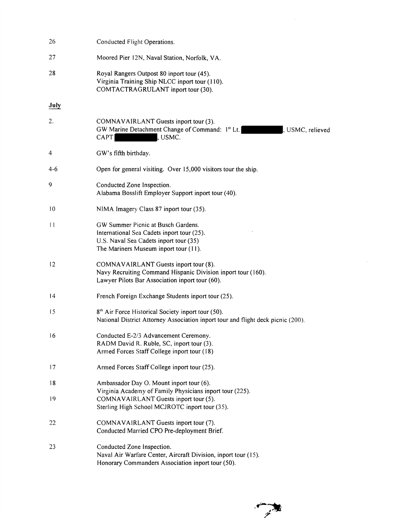| 26      | Conducted Flight Operations.                                                                                                                                        |
|---------|---------------------------------------------------------------------------------------------------------------------------------------------------------------------|
| 27      | Moored Pier 12N, Naval Station, Norfolk, VA.                                                                                                                        |
| 28      | Royal Rangers Outpost 80 inport tour (45).<br>Virginia Training Ship NLCC inport tour (110).<br>COMTACTRAGRULANT inport tour (30).                                  |
| July    |                                                                                                                                                                     |
| 2.      | COMNAVAIRLANT Guests inport tour (3).<br>GW Marine Detachment Change of Command: 1st Lt.<br>USMC, relieved<br><b>CAPT</b><br>USMC.                                  |
| 4       | GW's fifth birthday.                                                                                                                                                |
| 4-6     | Open for general visiting. Over 15,000 visitors tour the ship.                                                                                                      |
| 9       | Conducted Zone Inspection.<br>Alabama Bosslift Employer Support inport tour (40).                                                                                   |
| 10      | NIMA Imagery Class 87 inport tour (35).                                                                                                                             |
| $\perp$ | GW Summer Picnic at Busch Gardens.<br>International Sea Cadets inport tour (25).<br>U.S. Naval Sea Cadets inport tour (35)<br>The Mariners Museum inport tour (11). |
| 12      | COMNAVAIRLANT Guests inport tour (8).<br>Navy Recruiting Command Hispanic Division inport tour (160).<br>Lawyer Pilots Bar Association inport tour (60).            |
| 14      | French Foreign Exchange Students inport tour (25).                                                                                                                  |
| 15      | 8 <sup>th</sup> Air Force Historical Society inport tour (50).<br>National District Attorney Association inport tour and flight deck picnic (200).                  |
| 16      | Conducted E-2/3 Advancement Ceremony.<br>RADM David R. Ruble, SC, inport tour (3).<br>Armed Forces Staff College inport tour (18)                                   |
| 17      | Armed Forces Staff College inport tour (25).                                                                                                                        |
| 18      | Ambassador Day O. Mount inport tour (6).<br>Virginia Academy of Family Physicians inport tour (225).                                                                |
| 19      | COMNAVAIRLANT Guests inport tour (5).<br>Sterling High School MCJROTC inport tour (35).                                                                             |
| 22      | COMNAVAIRLANT Guests inport tour (7).<br>Conducted Married CPO Pre-deployment Brief.                                                                                |
| 23      | Conducted Zone Inspection.<br>Naval Air Warfare Center, Aircraft Division, inport tour (15).<br>Honorary Commanders Association inport tour (50).                   |



 $\hat{\boldsymbol{\gamma}}$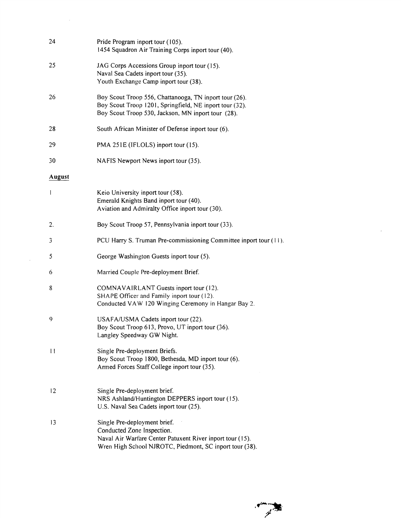| 24            | Pride Program inport tour (105).<br>1454 Squadron Air Training Corps inport tour (40).                                                                                             |
|---------------|------------------------------------------------------------------------------------------------------------------------------------------------------------------------------------|
| 25            | JAG Corps Accessions Group inport tour (15).<br>Naval Sea Cadets inport tour (35).<br>Youth Exchange Camp inport tour (38).                                                        |
| 26            | Boy Scout Troop 556, Chattanooga, TN inport tour (26).<br>Boy Scout Troop 1201, Springfield, NE inport tour (32).<br>Boy Scout Troop 530, Jackson, MN inport tour (28).            |
| 28            | South African Minister of Defense inport tour (6).                                                                                                                                 |
| 29            | PMA 251E (IFLOLS) inport tour (15).                                                                                                                                                |
| 30            | NAFIS Newport News inport tour (35).                                                                                                                                               |
| <b>August</b> |                                                                                                                                                                                    |
| 1             | Keio University inport tour (58).<br>Emerald Knights Band inport tour (40).<br>Aviation and Admiralty Office inport tour (30).                                                     |
| 2.            | Boy Scout Troop 57, Pennsylvania inport tour (33).                                                                                                                                 |
| 3             | PCU Harry S. Truman Pre-commissioning Committee inport tour (11).                                                                                                                  |
| 5             | George Washington Guests inport tour (5).                                                                                                                                          |
| 6             | Married Couple Pre-deployment Brief.                                                                                                                                               |
| 8             | COMNAVAIRLANT Guests inport tour (12).<br>SHAPE Officer and Family inport tour (12).<br>Conducted VAW 120 Winging Ceremony in Hangar Bay 2.                                        |
| 9             | USAFA/USMA Cadets inport tour (22).<br>Boy Scout Troop 613, Provo, UT inport tour (36).<br>Langley Speedway GW Night.                                                              |
| $\frac{1}{2}$ | Single Pre-deployment Briefs.<br>Boy Scout Troop 1800, Bethesda, MD inport tour (6).<br>Armed Forces Staff College inport tour (35).                                               |
| 12            | Single Pre-deployment brief.<br>NRS Ashland/Huntington DEPPERS inport tour (15).<br>U.S. Naval Sea Cadets inport tour (25).                                                        |
| 13            | Single Pre-deployment brief.<br>Conducted Zone Inspection.<br>Naval Air Warfare Center Patuxent River inport tour (15).<br>Wren High School NJROTC, Piedmont, SC inport tour (38). |

 $\sim 10^{11}$ 



 $\frac{1}{2}$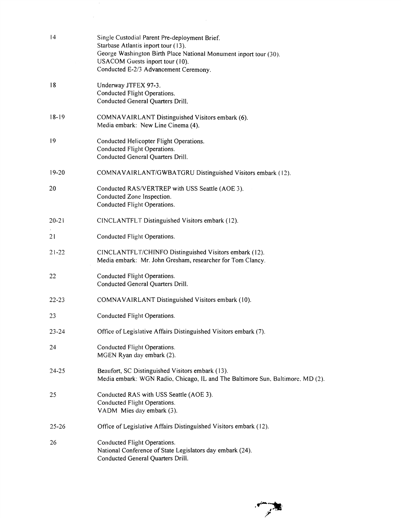| 4         | Single Custodial Parent Pre-deployment Brief.<br>Starbase Atlantis inport tour (13).<br>George Washington Birth Place National Monument inport tour (30).<br>USACOM Guests inport tour (10).<br>Conducted E-2/3 Advancement Ceremony. |
|-----------|---------------------------------------------------------------------------------------------------------------------------------------------------------------------------------------------------------------------------------------|
| 18        | Underway JTFEX 97-3.<br>Conducted Flight Operations.<br>Conducted General Quarters Drill.                                                                                                                                             |
| $18 - 19$ | COMNAVAIRLANT Distinguished Visitors embark (6).<br>Media embark: New Line Cinema (4).                                                                                                                                                |
| 19        | Conducted Helicopter Flight Operations.<br>Conducted Flight Operations.<br>Conducted General Quarters Drill.                                                                                                                          |
| $19 - 20$ | COMNAVAIRLANT/GWBATGRU Distinguished Visitors embark (12).                                                                                                                                                                            |
| 20        | Conducted RAS/VERTREP with USS Seattle (AOE 3).<br>Conducted Zone Inspection.<br>Conducted Flight Operations.                                                                                                                         |
| $20 - 21$ | CINCLANTFLT Distinguished Visitors embark (12).                                                                                                                                                                                       |
| 21        | Conducted Flight Operations.                                                                                                                                                                                                          |
| $21 - 22$ | CINCLANTFLT/CHINFO Distinguished Visitors embark (12).<br>Media embark: Mr. John Gresham, researcher for Tom Clancy.                                                                                                                  |
| 22        | Conducted Flight Operations.<br>Conducted General Quarters Drill.                                                                                                                                                                     |
| $22 - 23$ | COMNAVAIRLANT Distinguished Visitors embark (10).                                                                                                                                                                                     |
| 23        | Conducted Flight Operations.                                                                                                                                                                                                          |
| $23 - 24$ | Office of Legislative Affairs Distinguished Visitors embark (7).                                                                                                                                                                      |
| 24        | Conducted Flight Operations.<br>MGEN Ryan day embark (2).                                                                                                                                                                             |
| 24-25     | Beaufort, SC Distinguished Visitors embark (13).<br>Media embark: WGN Radio, Chicago, IL and The Baltimore Sun, Baltimore, MD (2).                                                                                                    |
| 25        | Conducted RAS with USS Seattle (AOE 3).<br>Conducted Flight Operations.<br>VADM Mies day embark (3).                                                                                                                                  |
| $25 - 26$ | Office of Legislative Affairs Distinguished Visitors embark (12).                                                                                                                                                                     |
| 26        | Conducted Flight Operations.<br>National Conference of State Legislators day embark (24).<br>Conducted General Quarters Drill.                                                                                                        |

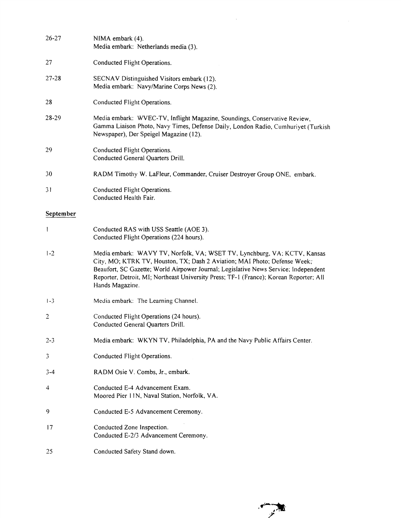| $26 - 27$      | NIMA embark (4).<br>Media embark: Netherlands media (3).                                                                                                                                                                                                                                                                                                  |
|----------------|-----------------------------------------------------------------------------------------------------------------------------------------------------------------------------------------------------------------------------------------------------------------------------------------------------------------------------------------------------------|
| 27             | Conducted Flight Operations.                                                                                                                                                                                                                                                                                                                              |
| $27 - 28$      | SECNAV Distinguished Visitors embark (12).<br>Media embark: Navy/Marine Corps News (2).                                                                                                                                                                                                                                                                   |
| 28             | Conducted Flight Operations.                                                                                                                                                                                                                                                                                                                              |
| 28-29          | Media embark: WVEC-TV, Inflight Magazine, Soundings, Conservative Review,<br>Gamma Liaison Photo, Navy Times, Defense Daily, London Radio, Cumhuriyet (Turkish<br>Newspaper), Der Speigel Magazine (12).                                                                                                                                                  |
| 29             | Conducted Flight Operations.<br>Conducted General Quarters Drill.                                                                                                                                                                                                                                                                                         |
| 30             | RADM Timothy W. LaFleur, Commander, Cruiser Destroyer Group ONE, embark.                                                                                                                                                                                                                                                                                  |
| 31             | Conducted Flight Operations.<br>Conducted Health Fair.                                                                                                                                                                                                                                                                                                    |
| September      |                                                                                                                                                                                                                                                                                                                                                           |
| 1              | Conducted RAS with USS Seattle (AOE 3).<br>Conducted Flight Operations (224 hours).                                                                                                                                                                                                                                                                       |
| $1 - 2$        | Media embark: WAVY TV, Norfolk, VA; WSET TV, Lynchburg, VA; KCTV, Kansas<br>City, MO; KTRK TV, Houston, TX; Dash 2 Aviation; MAI Photo; Defense Week;<br>Beaufort, SC Gazette; World Airpower Journal; Legislative News Service; Independent<br>Reporter, Detroit, MI; Northeast University Press; TF-1 (France); Korean Reporter; All<br>Hands Magazine. |
| $1 - 3$        | Media embark: The Learning Channel.                                                                                                                                                                                                                                                                                                                       |
| $\overline{2}$ | Conducted Flight Operations (24 hours).<br>Conducted General Quarters Drill.                                                                                                                                                                                                                                                                              |
| $2 - 3$        | Media embark: WKYN TV, Philadelphia, PA and the Navy Public Affairs Center.                                                                                                                                                                                                                                                                               |
| 3              | Conducted Flight Operations.                                                                                                                                                                                                                                                                                                                              |
| $3 - 4$        | RADM Osie V. Combs, Jr., embark.                                                                                                                                                                                                                                                                                                                          |
| 4              | Conducted E-4 Advancement Exam.<br>Moored Pier 11N, Naval Station, Norfolk, VA.                                                                                                                                                                                                                                                                           |
| 9              | Conducted E-5 Advancement Ceremony.                                                                                                                                                                                                                                                                                                                       |
| 17             | Conducted Zone Inspection.<br>Conducted E-2/3 Advancement Ceremony.                                                                                                                                                                                                                                                                                       |
| 25             | Conducted Safety Stand down.                                                                                                                                                                                                                                                                                                                              |

 $\bar{\beta}$ 

 $\mathcal{F}$ 

R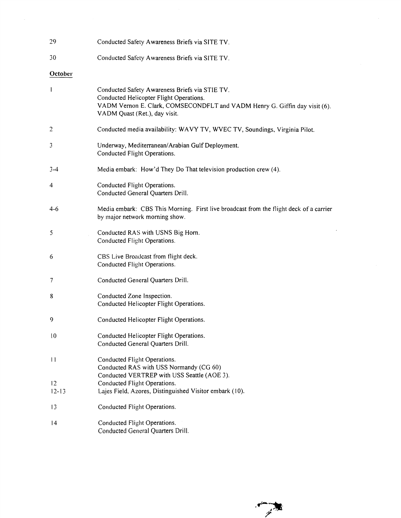| 29             | Conducted Safety Awareness Briefs via SITE TV.                                                                                                                                                           |
|----------------|----------------------------------------------------------------------------------------------------------------------------------------------------------------------------------------------------------|
| 30             | Conducted Safety Awareness Briefs via SITE TV.                                                                                                                                                           |
| October        |                                                                                                                                                                                                          |
| 1              | Conducted Safety Awareness Briefs via STIE TV.<br>Conducted Helicopter Flight Operations.<br>VADM Vernon E. Clark, COMSECONDFLT and VADM Henry G. Giffin day visit (6).<br>VADM Quast (Ret.), day visit. |
| $\overline{2}$ | Conducted media availability: WAVY TV, WVEC TV, Soundings, Virginia Pilot.                                                                                                                               |
| 3              | Underway, Mediterranean/Arabian Gulf Deployment.<br>Conducted Flight Operations.                                                                                                                         |
| $3 - 4$        | Media embark: How'd They Do That television production crew (4).                                                                                                                                         |
| 4              | Conducted Flight Operations.<br>Conducted General Quarters Drill.                                                                                                                                        |
| $4-6$          | Media embark: CBS This Morning. First live broadcast from the flight deck of a carrier<br>by major network morning show.                                                                                 |
| 5              | Conducted RAS with USNS Big Horn.<br>Conducted Flight Operations.                                                                                                                                        |
| 6              | CBS Live Broadcast from flight deck.<br>Conducted Flight Operations.                                                                                                                                     |
| 7              | Conducted General Quarters Drill.                                                                                                                                                                        |
| 8              | Conducted Zone Inspection.<br>Conducted Helicopter Flight Operations.                                                                                                                                    |
| 9              | Conducted Helicopter Flight Operations.                                                                                                                                                                  |
| 10             | Conducted Helicopter Flight Operations.<br>Conducted General Quarters Drill.                                                                                                                             |
| 11             | Conducted Flight Operations.<br>Conducted RAS with USS Normandy (CG 60)<br>Conducted VERTREP with USS Seattle (AOE 3).                                                                                   |
| 12             | Conducted Flight Operations.                                                                                                                                                                             |
| $12 - 13$      | Lajes Field, Azores, Distinguished Visitor embark (10).                                                                                                                                                  |
| 13             | Conducted Flight Operations.                                                                                                                                                                             |
| 4              | Conducted Flight Operations.<br>Conducted General Quarters Drill.                                                                                                                                        |

میم.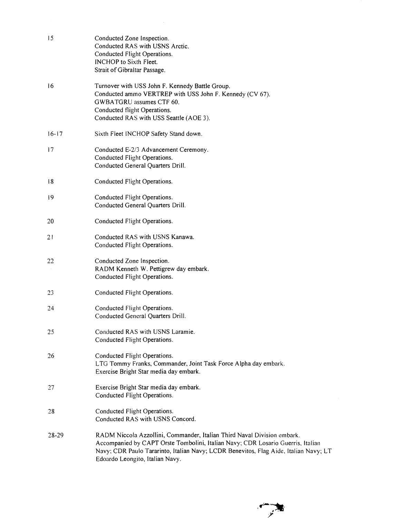| 15        | Conducted Zone Inspection.<br>Conducted RAS with USNS Arctic.<br>Conducted Flight Operations.<br>INCHOP to Sixth Fleet.<br>Strait of Gibraltar Passage.                                                                                                                               |
|-----------|---------------------------------------------------------------------------------------------------------------------------------------------------------------------------------------------------------------------------------------------------------------------------------------|
| 16        | Turnover with USS John F. Kennedy Battle Group.<br>Conducted ammo VERTREP with USS John F. Kennedy (CV 67).<br>GWBATGRU assumes CTF 60.<br>Conducted flight Operations.<br>Conducted RAS with USS Seattle (AOE 3).                                                                    |
| $16 - 17$ | Sixth Fleet INCHOP Safety Stand down.                                                                                                                                                                                                                                                 |
| 17        | Conducted E-2/3 Advancement Ceremony.<br>Conducted Flight Operations.<br>Conducted General Quarters Drill.                                                                                                                                                                            |
| 18        | Conducted Flight Operations.                                                                                                                                                                                                                                                          |
| 19        | Conducted Flight Operations.<br>Conducted General Quarters Drill.                                                                                                                                                                                                                     |
| 20        | Conducted Flight Operations.                                                                                                                                                                                                                                                          |
| 21        | Conducted RAS with USNS Kanawa.<br>Conducted Flight Operations.                                                                                                                                                                                                                       |
| 22        | Conducted Zone Inspection.<br>RADM Kenneth W. Pettigrew day embark.<br>Conducted Flight Operations.                                                                                                                                                                                   |
| 23        | Conducted Flight Operations.                                                                                                                                                                                                                                                          |
| 24        | Conducted Flight Operations.<br>Conducted General Quarters Drill.                                                                                                                                                                                                                     |
| 25        | Conducted RAS with USNS Laramie.<br>Conducted Flight Operations.                                                                                                                                                                                                                      |
| 26        | Conducted Flight Operations.<br>LTG Tommy Franks, Commander, Joint Task Force Alpha day embark.<br>Exercise Bright Star media day embark.                                                                                                                                             |
| 27        | Exercise Bright Star media day embark.<br>Conducted Flight Operations.                                                                                                                                                                                                                |
| 28        | Conducted Flight Operations.<br>Conducted RAS with USNS Concord.                                                                                                                                                                                                                      |
| 28-29     | RADM Niccola Azzollini, Commander, Italian Third Naval Division embark.<br>Accompanied by CAPT Orste Tombolini, Italian Navy; CDR Losario Guerris, Italian<br>Navy; CDR Paulo Tararinto, Italian Navy; LCDR Benevitos, Flag Aide, Italian Navy; LT<br>Edoardo Leongito, Italian Navy. |

 $\mathbf{r}$ 

Ŀ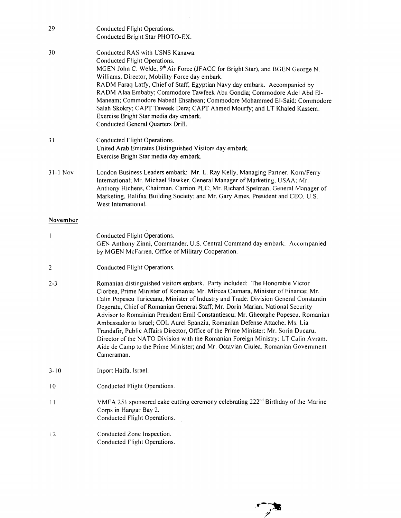| 29              | Conducted Flight Operations.<br>Conducted Bright Star PHOTO-EX.                                                                                                                                                                                                                                                                                                                                                                                                                                                                                                                                                                                                                                                                                                                             |
|-----------------|---------------------------------------------------------------------------------------------------------------------------------------------------------------------------------------------------------------------------------------------------------------------------------------------------------------------------------------------------------------------------------------------------------------------------------------------------------------------------------------------------------------------------------------------------------------------------------------------------------------------------------------------------------------------------------------------------------------------------------------------------------------------------------------------|
| 30              | Conducted RAS with USNS Kanawa.<br>Conducted Flight Operations.<br>MGEN John C. Welde, 9 <sup>th</sup> Air Force (JFACC for Bright Star), and BGEN George N.<br>Williams, Director, Mobility Force day embark.<br>RADM Faraq Latfy, Chief of Staff, Egyptian Navy day embark. Accompanied by<br>RADM Alaa Embaby; Commodore Tawfeek Abu Gondia; Commodore Adel Abd El-<br>Maneam; Commodore Nabedl Ehsahean; Commodore Mohammed El-Said; Commodore<br>Salah Skokry; CAPT Taweek Dera; CAPT Ahmed Mourfy; and LT Khaled Kassem.<br>Exercise Bright Star media day embark.<br>Conducted General Quarters Drill.                                                                                                                                                                               |
| 31              | Conducted Flight Operations.<br>United Arab Emirates Distinguished Visitors day embark.<br>Exercise Bright Star media day embark.                                                                                                                                                                                                                                                                                                                                                                                                                                                                                                                                                                                                                                                           |
| 31-1 Nov        | London Business Leaders embark: Mr. L. Ray Kelly, Managing Partner, Korn/Ferry<br>International; Mr. Michael Hawker, General Manager of Marketing, USAA; Mr.<br>Anthony Hichens, Chairman, Carrion PLC; Mr. Richard Spelman, General Manager of<br>Marketing, Halifax Building Society; and Mr. Gary Ames, President and CEO, U.S.<br>West International.                                                                                                                                                                                                                                                                                                                                                                                                                                   |
| November        |                                                                                                                                                                                                                                                                                                                                                                                                                                                                                                                                                                                                                                                                                                                                                                                             |
| 1               | Conducted Flight Operations.<br>GEN Anthony Zinni, Commander, U.S. Central Command day embark. Accompanied<br>by MGEN McFarren, Office of Military Cooperation.                                                                                                                                                                                                                                                                                                                                                                                                                                                                                                                                                                                                                             |
| $\overline{c}$  | Conducted Flight Operations.                                                                                                                                                                                                                                                                                                                                                                                                                                                                                                                                                                                                                                                                                                                                                                |
| $2 - 3$         | Romanian distinguished visitors embark. Party included: The Honorable Victor<br>Ciorbea, Prime Minister of Romania; Mr. Mircea Ciumara, Minister of Finance; Mr.<br>Calin Popescu Tariceanu, Minister of Industry and Trade; Division General Constantin<br>Degeratu, Chief of Romanian General Staff; Mr. Dorin Marian, National Security<br>Advisor to Romainian President Emil Constantiescu; Mr. Gheorghe Popescu, Romanian<br>Ambassador to Israel; COL Aurel Spanziu, Romanian Defense Attache; Ms. Lia<br>Trandafir, Public Affairs Director, Office of the Prime Minister; Mr. Sorin Ducaru,<br>Director of the NATO Division with the Romanian Foreign Ministry; LT Calin Avram,<br>Aide de Camp to the Prime Minister; and Mr. Octavian Ciulea, Romanian Government<br>Cameraman. |
| $3 - 10$        | Inport Haifa, Israel.                                                                                                                                                                                                                                                                                                                                                                                                                                                                                                                                                                                                                                                                                                                                                                       |
| $\overline{10}$ | Conducted Flight Operations.                                                                                                                                                                                                                                                                                                                                                                                                                                                                                                                                                                                                                                                                                                                                                                |
| $\vert \vert$   | VMFA 251 sponsored cake cutting ceremony celebrating 222 <sup>nd</sup> Birthday of the Marine<br>Corps in Hangar Bay 2.<br>Conducted Flight Operations.                                                                                                                                                                                                                                                                                                                                                                                                                                                                                                                                                                                                                                     |
| 12              | Conducted Zone Inspection.<br>Conducted Flight Operations.                                                                                                                                                                                                                                                                                                                                                                                                                                                                                                                                                                                                                                                                                                                                  |
|                 |                                                                                                                                                                                                                                                                                                                                                                                                                                                                                                                                                                                                                                                                                                                                                                                             |

 $\sim$   $\sim$ 

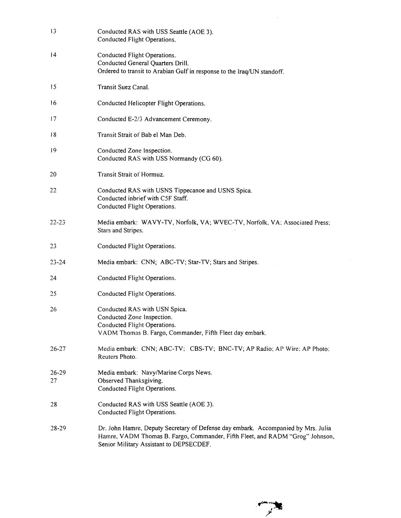| $\overline{13}$ | Conducted RAS with USS Seattle (AOE 3).<br>Conducted Flight Operations.                                                                                                                                       |
|-----------------|---------------------------------------------------------------------------------------------------------------------------------------------------------------------------------------------------------------|
| 4               | Conducted Flight Operations.<br>Conducted General Quarters Drill.<br>Ordered to transit to Arabian Gulf in response to the Iraq/UN standoff.                                                                  |
| 15              | Transit Suez Canal.                                                                                                                                                                                           |
| 16              | Conducted Helicopter Flight Operations.                                                                                                                                                                       |
| 17              | Conducted E-2/3 Advancement Ceremony.                                                                                                                                                                         |
| $\overline{8}$  | Transit Strait of Bab el Man Deb.                                                                                                                                                                             |
| 19              | Conducted Zone Inspection.<br>Conducted RAS with USS Normandy (CG 60).                                                                                                                                        |
| 20              | Transit Strait of Hormuz.                                                                                                                                                                                     |
| 22              | Conducted RAS with USNS Tippecanoe and USNS Spica.<br>Conducted inbrief with C5F Staff.<br>Conducted Flight Operations.                                                                                       |
| $22 - 23$       | Media embark: WAVY-TV, Norfolk, VA; WVEC-TV, Norfolk, VA; Associated Press;<br>Stars and Stripes.                                                                                                             |
| 23              | Conducted Flight Operations.                                                                                                                                                                                  |
| $23 - 24$       | Media embark: CNN; ABC-TV; Star-TV; Stars and Stripes.                                                                                                                                                        |
| 24              | Conducted Flight Operations.                                                                                                                                                                                  |
| 25              | Conducted Flight Operations.                                                                                                                                                                                  |
| 26              | Conducted RAS with USN Spica.<br>Conducted Zone Inspection.<br>Conducted Flight Operations.<br>VADM Thomas B. Fargo, Commander, Fifth Fleet day embark.                                                       |
| $26 - 27$       | Media embark: CNN; ABC-TV; CBS-TV; BNC-TV; AP Radio; AP Wire; AP Photo;<br>Reuters Photo.                                                                                                                     |
| $26 - 29$<br>27 | Media embark: Navy/Marine Corps News.<br>Observed Thanksgiving.<br>Conducted Flight Operations.                                                                                                               |
| 28              | Conducted RAS with USS Seattle (AOE 3).<br>Conducted Flight Operations.                                                                                                                                       |
| 28-29           | Dr. John Hamre, Deputy Secretary of Defense day embark. Accompanied by Mrs. Julia<br>Hamre, VADM Thomas B. Fargo, Commander, Fifth Fleet, and RADM "Grog" Johnson,<br>Senior Military Assistant to DEPSECDEF. |



 $\mathcal{L}^{\text{max}}_{\text{max}}$  and  $\mathcal{L}^{\text{max}}_{\text{max}}$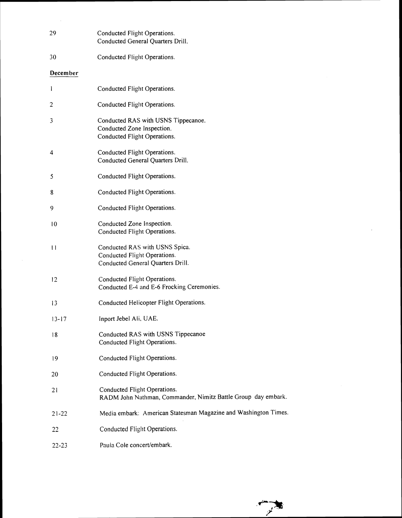| 29            | Conducted Flight Operations.<br>Conducted General Quarters Drill.                                   |
|---------------|-----------------------------------------------------------------------------------------------------|
| 30            | Conducted Flight Operations.                                                                        |
| December      |                                                                                                     |
| 1             | Conducted Flight Operations.                                                                        |
| 2             | Conducted Flight Operations.                                                                        |
| 3             | Conducted RAS with USNS Tippecanoe.<br>Conducted Zone Inspection.<br>Conducted Flight Operations.   |
| 4             | Conducted Flight Operations.<br>Conducted General Quarters Drill.                                   |
| 5             | Conducted Flight Operations.                                                                        |
| 8             | Conducted Flight Operations.                                                                        |
| 9             | Conducted Flight Operations.                                                                        |
| 10            | Conducted Zone Inspection.<br>Conducted Flight Operations.                                          |
| $\vert \vert$ | Conducted RAS with USNS Spica.<br>Conducted Flight Operations.<br>Conducted General Quarters Drill. |
| 12            | Conducted Flight Operations.<br>Conducted E-4 and E-6 Frocking Ceremonies.                          |
| 13            | Conducted Helicopter Flight Operations.                                                             |
| $13 - 17$     | Inport Jebel Ali, UAE.                                                                              |
| 18            | Conducted RAS with USNS Tippecanoe<br>Conducted Flight Operations.                                  |
| 19            | Conducted Flight Operations.                                                                        |
| 20            | Conducted Flight Operations.                                                                        |
| 21            | Conducted Flight Operations.<br>RADM John Nathman, Commander, Nimitz Battle Group day embark.       |
| $21-22$       | Media embark: American Statesman Magazine and Washington Times.                                     |
| 22            | Conducted Flight Operations.                                                                        |
| 22-23         | Paula Cole concert/embark.                                                                          |

 $\bar{\gamma}$ 

 $\frac{1}{\sqrt{2}}$ 

 $\sim$